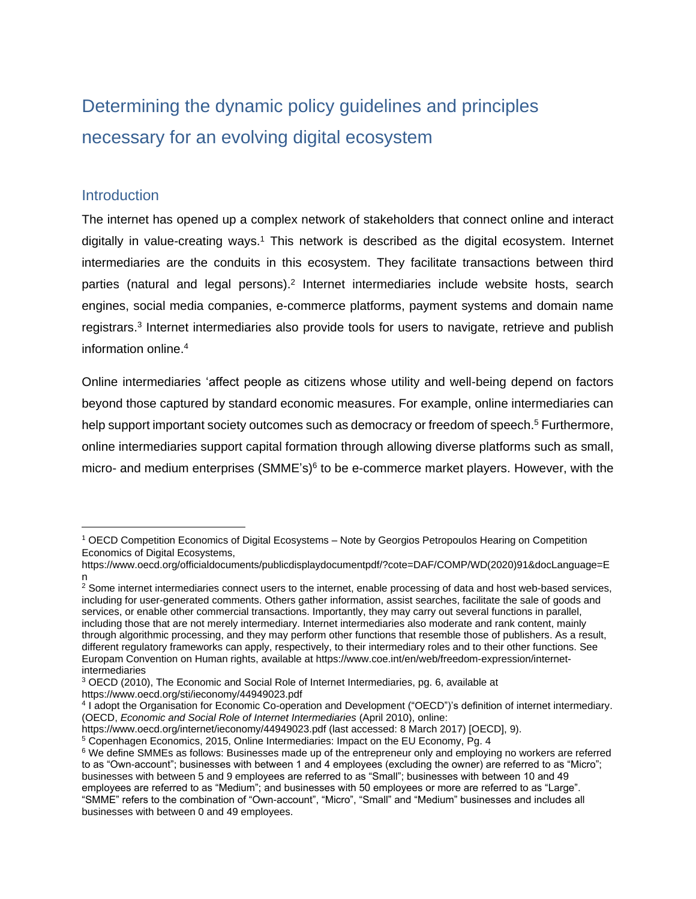# Determining the dynamic policy guidelines and principles necessary for an evolving digital ecosystem

#### **Introduction**

The internet has opened up a complex network of stakeholders that connect online and interact digitally in value-creating ways.<sup>1</sup> This network is described as the digital ecosystem. Internet intermediaries are the conduits in this ecosystem. They facilitate transactions between third parties (natural and legal persons).<sup>2</sup> Internet intermediaries include website hosts, search engines, social media companies, e-commerce platforms, payment systems and domain name registrars. 3 Internet intermediaries also provide tools for users to navigate, retrieve and publish information online. 4

Online intermediaries 'affect people as citizens whose utility and well-being depend on factors beyond those captured by standard economic measures. For example, online intermediaries can help support important society outcomes such as democracy or freedom of speech.<sup>5</sup> Furthermore, online intermediaries support capital formation through allowing diverse platforms such as small, micro- and medium enterprises (SMME's)<sup>6</sup> to be e-commerce market players. However, with the

 $1$  OECD Competition Economics of Digital Ecosystems – Note by Georgios Petropoulos Hearing on Competition Economics of Digital Ecosystems,

https://www.oecd.org/officialdocuments/publicdisplaydocumentpdf/?cote=DAF/COMP/WD(2020)91&docLanguage=E n

<sup>&</sup>lt;sup>2</sup> Some internet intermediaries connect users to the internet, enable processing of data and host web-based services, including for user-generated comments. Others gather information, assist searches, facilitate the sale of goods and services, or enable other commercial transactions. Importantly, they may carry out several functions in parallel, including those that are not merely intermediary. Internet intermediaries also moderate and rank content, mainly through algorithmic processing, and they may perform other functions that resemble those of publishers. As a result, different regulatory frameworks can apply, respectively, to their intermediary roles and to their other functions. See Europam Convention on Human rights, available at https://www.coe.int/en/web/freedom-expression/internetintermediaries

<sup>3</sup> OECD (2010), The Economic and Social Role of Internet Intermediaries, pg. 6, available at https://www.oecd.org/sti/ieconomy/44949023.pdf

<sup>4</sup> I adopt the Organisation for Economic Co-operation and Development ("OECD")'s definition of internet intermediary. (OECD, *Economic and Social Role of Internet Intermediaries* (April 2010), online:

https://www.oecd.org/internet/ieconomy/44949023.pdf (last accessed: 8 March 2017) [OECD], 9).

<sup>5</sup> Copenhagen Economics, 2015, Online Intermediaries: Impact on the EU Economy, Pg. 4

<sup>&</sup>lt;sup>6</sup> We define SMMEs as follows: Businesses made up of the entrepreneur only and employing no workers are referred to as "Own-account"; businesses with between 1 and 4 employees (excluding the owner) are referred to as "Micro"; businesses with between 5 and 9 employees are referred to as "Small"; businesses with between 10 and 49 employees are referred to as "Medium"; and businesses with 50 employees or more are referred to as "Large". "SMME" refers to the combination of "Own-account", "Micro", "Small" and "Medium" businesses and includes all businesses with between 0 and 49 employees.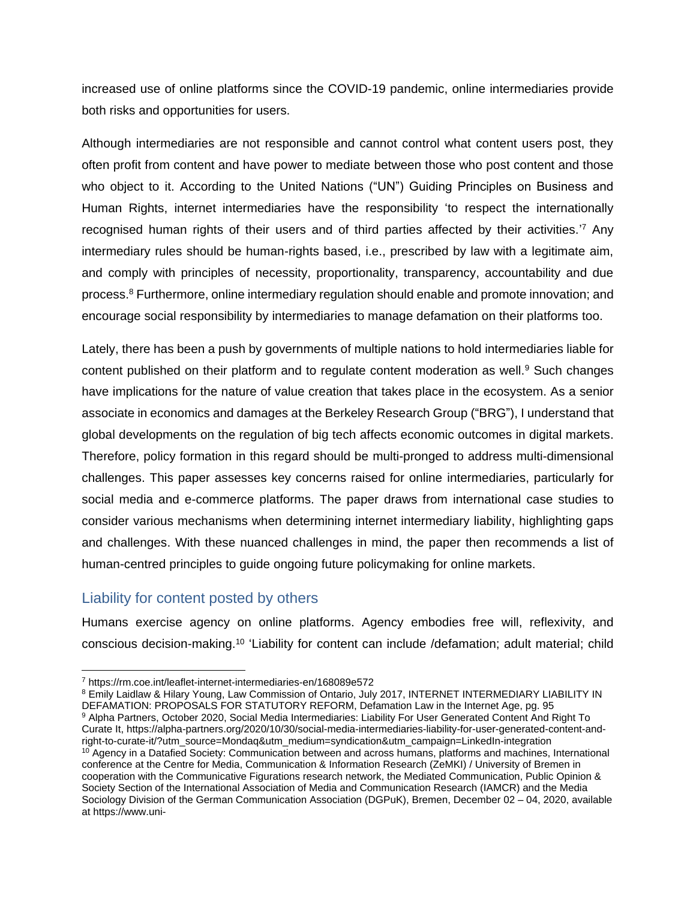increased use of online platforms since the COVID-19 pandemic, online intermediaries provide both risks and opportunities for users.

Although intermediaries are not responsible and cannot control what content users post, they often profit from content and have power to mediate between those who post content and those who object to it. According to the United Nations ("UN") Guiding Principles on Business and Human Rights, internet intermediaries have the responsibility 'to respect the internationally recognised human rights of their users and of third parties affected by their activities.<sup>7</sup> Any intermediary rules should be human-rights based, i.e., prescribed by law with a legitimate aim, and comply with principles of necessity, proportionality, transparency, accountability and due process. <sup>8</sup> Furthermore, online intermediary regulation should enable and promote innovation; and encourage social responsibility by intermediaries to manage defamation on their platforms too.

Lately, there has been a push by governments of multiple nations to hold intermediaries liable for content published on their platform and to regulate content moderation as well.<sup>9</sup> Such changes have implications for the nature of value creation that takes place in the ecosystem. As a senior associate in economics and damages at the Berkeley Research Group ("BRG"), I understand that global developments on the regulation of big tech affects economic outcomes in digital markets. Therefore, policy formation in this regard should be multi-pronged to address multi-dimensional challenges. This paper assesses key concerns raised for online intermediaries, particularly for social media and e-commerce platforms. The paper draws from international case studies to consider various mechanisms when determining internet intermediary liability, highlighting gaps and challenges. With these nuanced challenges in mind, the paper then recommends a list of human-centred principles to guide ongoing future policymaking for online markets.

## Liability for content posted by others

Humans exercise agency on online platforms. Agency embodies free will, reflexivity, and conscious decision-making.<sup>10</sup> 'Liability for content can include /defamation; adult material; child

<sup>7</sup> https://rm.coe.int/leaflet-internet-intermediaries-en/168089e572

<sup>&</sup>lt;sup>8</sup> Emily Laidlaw & Hilary Young, Law Commission of Ontario, July 2017, INTERNET INTERMEDIARY LIABILITY IN DEFAMATION: PROPOSALS FOR STATUTORY REFORM, Defamation Law in the Internet Age, pg. 95

<sup>9</sup> Alpha Partners, October 2020, Social Media Intermediaries: Liability For User Generated Content And Right To Curate It, https://alpha-partners.org/2020/10/30/social-media-intermediaries-liability-for-user-generated-content-andright-to-curate-it/?utm\_source=Mondaq&utm\_medium=syndication&utm\_campaign=LinkedIn-integration <sup>10</sup> Agency in a Datafied Society: Communication between and across humans, platforms and machines, International conference at the Centre for Media, Communication & Information Research (ZeMKI) / University of Bremen in cooperation with the Communicative Figurations research network, the Mediated Communication, Public Opinion & Society Section of the International Association of Media and Communication Research (IAMCR) and the Media Sociology Division of the German Communication Association (DGPuK), Bremen, December 02 – 04, 2020, available at https://www.uni-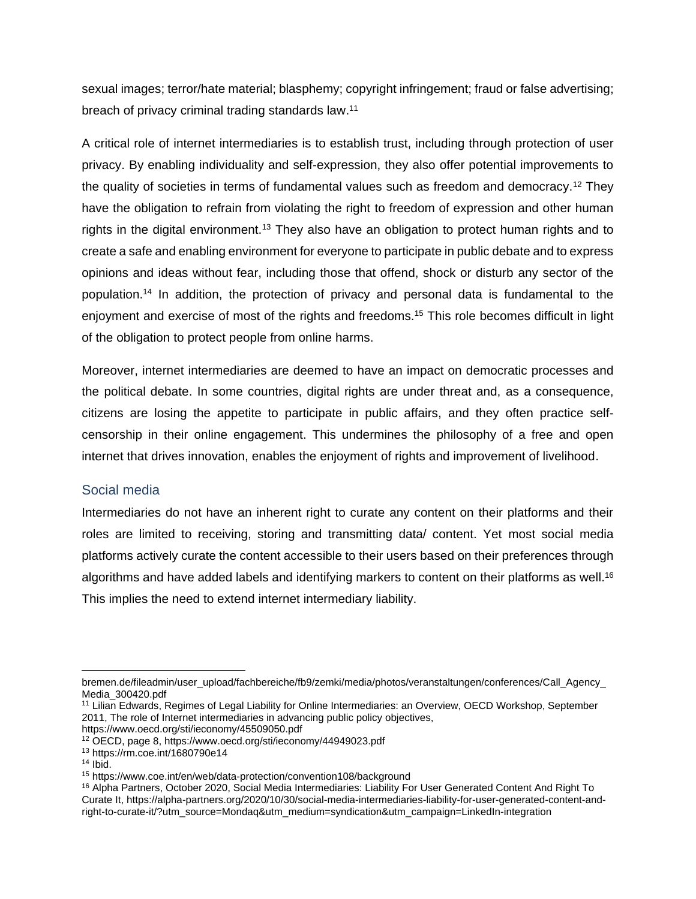sexual images; terror/hate material; blasphemy; copyright infringement; fraud or false advertising; breach of privacy criminal trading standards law.<sup>11</sup>

A critical role of internet intermediaries is to establish trust, including through protection of user privacy. By enabling individuality and self-expression, they also offer potential improvements to the quality of societies in terms of fundamental values such as freedom and democracy.<sup>12</sup> They have the obligation to refrain from violating the right to freedom of expression and other human rights in the digital environment.<sup>13</sup> They also have an obligation to protect human rights and to create a safe and enabling environment for everyone to participate in public debate and to express opinions and ideas without fear, including those that offend, shock or disturb any sector of the population.<sup>14</sup> In addition, the protection of privacy and personal data is fundamental to the enjoyment and exercise of most of the rights and freedoms.<sup>15</sup> This role becomes difficult in light of the obligation to protect people from online harms.

Moreover, internet intermediaries are deemed to have an impact on democratic processes and the political debate. In some countries, digital rights are under threat and, as a consequence, citizens are losing the appetite to participate in public affairs, and they often practice selfcensorship in their online engagement. This undermines the philosophy of a free and open internet that drives innovation, enables the enjoyment of rights and improvement of livelihood.

#### Social media

Intermediaries do not have an inherent right to curate any content on their platforms and their roles are limited to receiving, storing and transmitting data/ content. Yet most social media platforms actively curate the content accessible to their users based on their preferences through algorithms and have added labels and identifying markers to content on their platforms as well.<sup>16</sup> This implies the need to extend internet intermediary liability.

bremen.de/fileadmin/user\_upload/fachbereiche/fb9/zemki/media/photos/veranstaltungen/conferences/Call\_Agency\_ Media\_300420.pdf

<sup>&</sup>lt;sup>11</sup> Lilian Edwards, Regimes of Legal Liability for Online Intermediaries: an Overview, OECD Workshop, September 2011, The role of Internet intermediaries in advancing public policy objectives,

https://www.oecd.org/sti/ieconomy/45509050.pdf

<sup>12</sup> OECD, page 8, https://www.oecd.org/sti/ieconomy/44949023.pdf

<sup>13</sup> https://rm.coe.int/1680790e14

 $14$  Ibid.

<sup>15</sup> https://www.coe.int/en/web/data-protection/convention108/background

<sup>16</sup> Alpha Partners, October 2020, Social Media Intermediaries: Liability For User Generated Content And Right To Curate It, https://alpha-partners.org/2020/10/30/social-media-intermediaries-liability-for-user-generated-content-andright-to-curate-it/?utm\_source=Mondaq&utm\_medium=syndication&utm\_campaign=LinkedIn-integration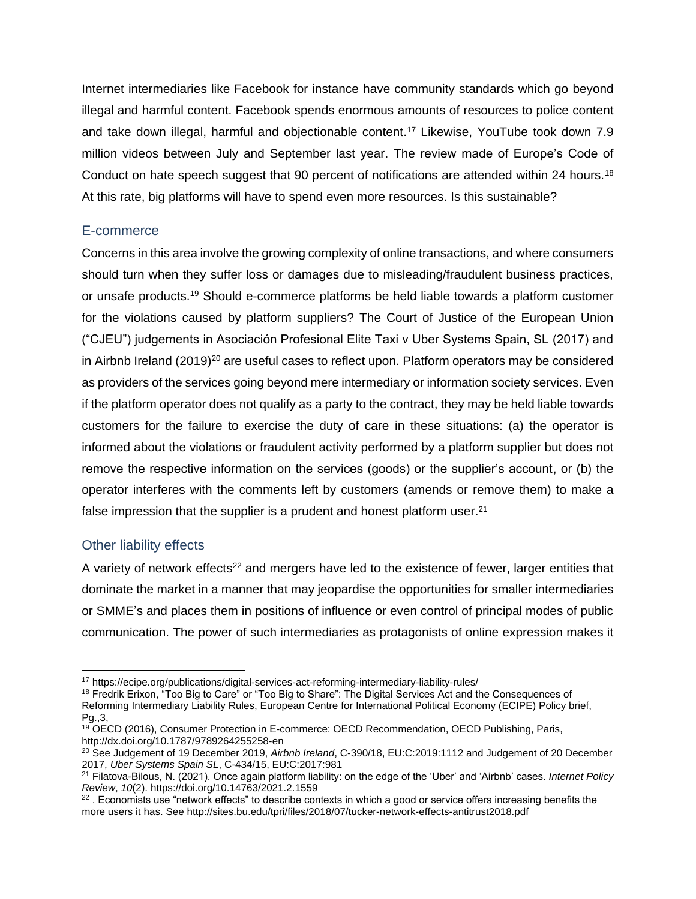Internet intermediaries like Facebook for instance have community standards which go beyond illegal and harmful content. Facebook spends enormous amounts of resources to police content and take down illegal, harmful and objectionable content.<sup>17</sup> Likewise, YouTube took down 7.9 million videos between July and September last year. The review made of Europe's Code of Conduct on hate speech suggest that 90 percent of notifications are attended within 24 hours.<sup>18</sup> At this rate, big platforms will have to spend even more resources. Is this sustainable?

#### E-commerce

Concerns in this area involve the growing complexity of online transactions, and where consumers should turn when they suffer loss or damages due to misleading/fraudulent business practices, or unsafe products.<sup>19</sup> Should e-commerce platforms be held liable towards a platform customer for the violations caused by platform suppliers? The Court of Justice of the European Union ("CJEU") judgements in Asociación Profesional Elite Taxi v Uber Systems Spain, SL (2017) and in Airbnb Ireland  $(2019)^{20}$  are useful cases to reflect upon. Platform operators may be considered as providers of the services going beyond mere intermediary or information society services. Even if the platform operator does not qualify as a party to the contract, they may be held liable towards customers for the failure to exercise the duty of care in these situations: (a) the operator is informed about the violations or fraudulent activity performed by a platform supplier but does not remove the respective information on the services (goods) or the supplier's account, or (b) the operator interferes with the comments left by customers (amends or remove them) to make a false impression that the supplier is a prudent and honest platform user.<sup>21</sup>

#### Other liability effects

A variety of network effects<sup>22</sup> and mergers have led to the existence of fewer, larger entities that dominate the market in a manner that may jeopardise the opportunities for smaller intermediaries or SMME's and places them in positions of influence or even control of principal modes of public communication. The power of such intermediaries as protagonists of online expression makes it

<sup>17</sup> https://ecipe.org/publications/digital-services-act-reforming-intermediary-liability-rules/

<sup>&</sup>lt;sup>18</sup> Fredrik Erixon, "Too Big to Care" or "Too Big to Share": The Digital Services Act and the Consequences of Reforming Intermediary Liability Rules, European Centre for International Political Economy (ECIPE) Policy brief, Pg.,3,

<sup>&</sup>lt;sup>19</sup> OECD (2016), Consumer Protection in E-commerce: OECD Recommendation, OECD Publishing, Paris, http://dx.doi.org/10.1787/9789264255258-en

<sup>20</sup> See Judgement of 19 December 2019, *Airbnb Ireland*, C-390/18, EU:C:2019:1112 and Judgement of 20 December 2017, *Uber Systems Spain SL*, C-434/15, EU:C:2017:981

<sup>21</sup> Filatova-Bilous, N. (2021). Once again platform liability: on the edge of the 'Uber' and 'Airbnb' cases. *Internet Policy Review*, *10*(2). https://doi.org/10.14763/2021.2.1559

<sup>&</sup>lt;sup>22</sup> . Economists use "network effects" to describe contexts in which a good or service offers increasing benefits the more users it has. See http://sites.bu.edu/tpri/files/2018/07/tucker-network-effects-antitrust2018.pdf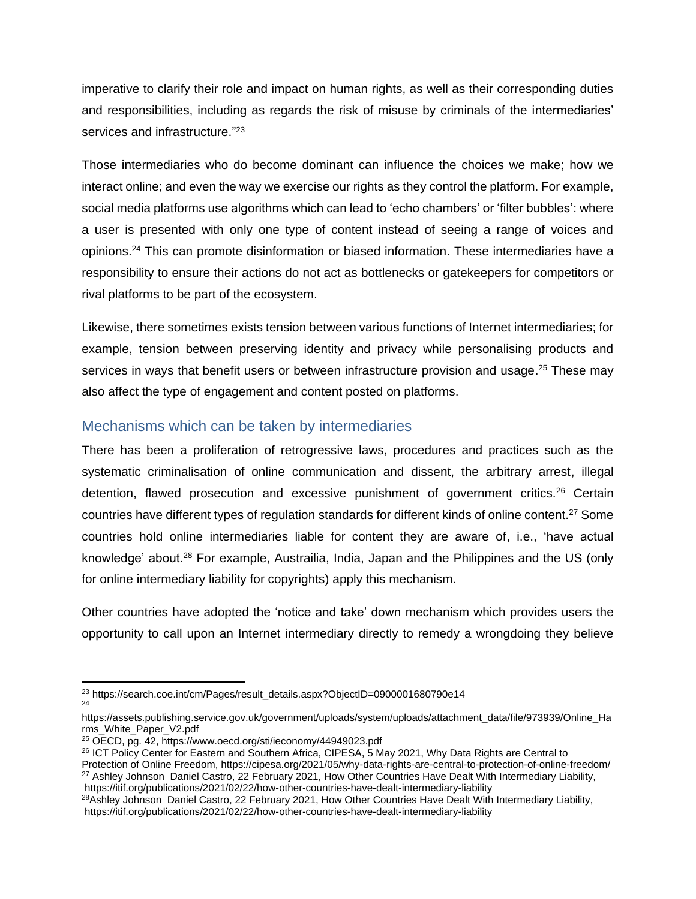imperative to clarify their role and impact on human rights, as well as their corresponding duties and responsibilities, including as regards the risk of misuse by criminals of the intermediaries' services and infrastructure."<sup>23</sup>

Those intermediaries who do become dominant can influence the choices we make; how we interact online; and even the way we exercise our rights as they control the platform. For example, social media platforms use algorithms which can lead to 'echo chambers' or 'filter bubbles': where a user is presented with only one type of content instead of seeing a range of voices and opinions.<sup>24</sup> This can promote disinformation or biased information. These intermediaries have a responsibility to ensure their actions do not act as bottlenecks or gatekeepers for competitors or rival platforms to be part of the ecosystem.

Likewise, there sometimes exists tension between various functions of Internet intermediaries; for example, tension between preserving identity and privacy while personalising products and services in ways that benefit users or between infrastructure provision and usage.<sup>25</sup> These may also affect the type of engagement and content posted on platforms.

## Mechanisms which can be taken by intermediaries

There has been a proliferation of retrogressive laws, procedures and practices such as the systematic criminalisation of online communication and dissent, the arbitrary arrest, illegal detention, flawed prosecution and excessive punishment of government critics.<sup>26</sup> Certain countries have different types of regulation standards for different kinds of online content.<sup>27</sup> Some countries hold online intermediaries liable for content they are aware of, i.e., 'have actual knowledge' about.<sup>28</sup> For example, Austrailia, India, Japan and the Philippines and the US (only for online intermediary liability for copyrights) apply this mechanism.

Other countries have adopted the 'notice and take' down mechanism which provides users the opportunity to call upon an Internet intermediary directly to remedy a wrongdoing they believe

Protection of Online Freedom, https://cipesa.org/2021/05/why-data-rights-are-central-to-protection-of-online-freedom/ <sup>27</sup> Ashley Johnson Daniel Castro, 22 February 2021, How Other Countries Have Dealt With Intermediary Liability, https://itif.org/publications/2021/02/22/how-other-countries-have-dealt-intermediary-liability

<sup>&</sup>lt;sup>23</sup> https://search.coe.int/cm/Pages/result\_details.aspx?ObjectID=0900001680790e14  $24$ 

https://assets.publishing.service.gov.uk/government/uploads/system/uploads/attachment\_data/file/973939/Online\_Ha rms\_White\_Paper\_V2.pdf

<sup>25</sup> OECD, pg. 42, https://www.oecd.org/sti/ieconomy/44949023.pdf

<sup>26</sup> ICT Policy Center for Eastern and Southern Africa, CIPESA, 5 May 2021, Why Data Rights are Central to

<sup>&</sup>lt;sup>28</sup>Ashley Johnson Daniel Castro, 22 February 2021, How Other Countries Have Dealt With Intermediary Liability, https://itif.org/publications/2021/02/22/how-other-countries-have-dealt-intermediary-liability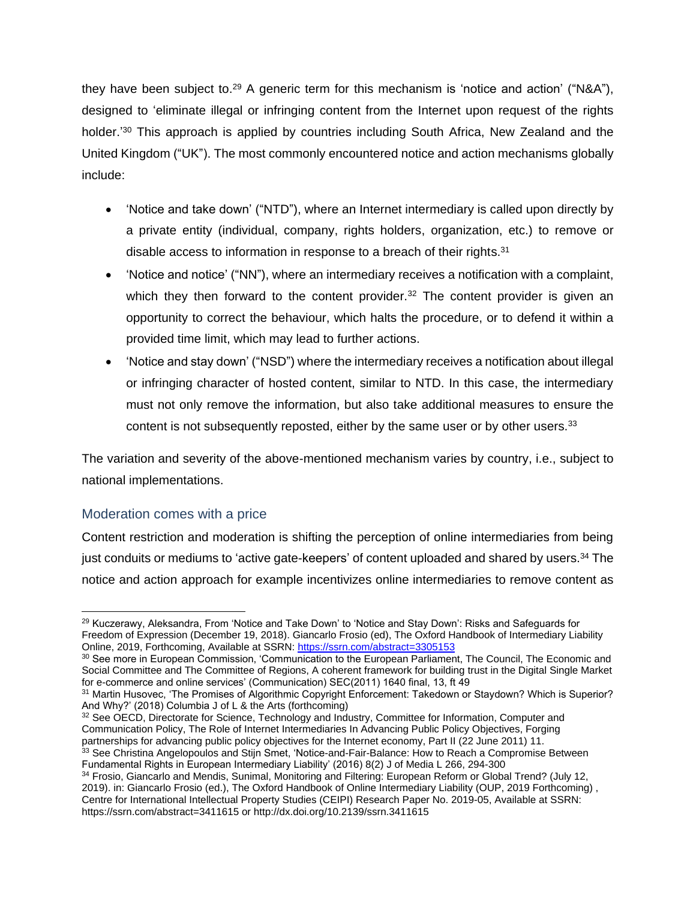they have been subject to.<sup>29</sup> A generic term for this mechanism is 'notice and action' ("N&A"), designed to 'eliminate illegal or infringing content from the Internet upon request of the rights holder.'<sup>30</sup> This approach is applied by countries including South Africa, New Zealand and the United Kingdom ("UK"). The most commonly encountered notice and action mechanisms globally include:

- 'Notice and take down' ("NTD"), where an Internet intermediary is called upon directly by a private entity (individual, company, rights holders, organization, etc.) to remove or disable access to information in response to a breach of their rights.<sup>31</sup>
- 'Notice and notice' ("NN"), where an intermediary receives a notification with a complaint, which they then forward to the content provider. $32$  The content provider is given an opportunity to correct the behaviour, which halts the procedure, or to defend it within a provided time limit, which may lead to further actions.
- 'Notice and stay down' ("NSD") where the intermediary receives a notification about illegal or infringing character of hosted content, similar to NTD. In this case, the intermediary must not only remove the information, but also take additional measures to ensure the content is not subsequently reposted, either by the same user or by other users.<sup>33</sup>

The variation and severity of the above-mentioned mechanism varies by country, i.e., subject to national implementations.

#### Moderation comes with a price

Content restriction and moderation is shifting the perception of online intermediaries from being just conduits or mediums to 'active gate-keepers' of content uploaded and shared by users.<sup>34</sup> The notice and action approach for example incentivizes online intermediaries to remove content as

32 See OECD, Directorate for Science, Technology and Industry, Committee for Information, Computer and Communication Policy, The Role of Internet Intermediaries In Advancing Public Policy Objectives, Forging partnerships for advancing public policy objectives for the Internet economy, Part II (22 June 2011) 11.  $33$  See Christina Angelopoulos and Stijn Smet, 'Notice-and-Fair-Balance: How to Reach a Compromise Between

```
Fundamental Rights in European Intermediary Liability' (2016) 8(2) J of Media L 266, 294-300
```
<sup>&</sup>lt;sup>29</sup> Kuczerawy, Aleksandra, From 'Notice and Take Down' to 'Notice and Stay Down': Risks and Safeguards for Freedom of Expression (December 19, 2018). Giancarlo Frosio (ed), The Oxford Handbook of Intermediary Liability Online, 2019, Forthcoming, Available at SSRN: <https://ssrn.com/abstract=3305153>

<sup>30</sup> See more in European Commission, 'Communication to the European Parliament, The Council, The Economic and Social Committee and The Committee of Regions, A coherent framework for building trust in the Digital Single Market for e-commerce and online services' (Communication) SEC(2011) 1640 final, 13, ft 49

<sup>&</sup>lt;sup>31</sup> Martin Husovec, 'The Promises of Algorithmic Copyright Enforcement: Takedown or Staydown? Which is Superior? And Why?' (2018) Columbia J of L & the Arts (forthcoming)

<sup>34</sup> Frosio, Giancarlo and Mendis, Sunimal, Monitoring and Filtering: European Reform or Global Trend? (July 12, 2019). in: Giancarlo Frosio (ed.), The Oxford Handbook of Online Intermediary Liability (OUP, 2019 Forthcoming) , Centre for International Intellectual Property Studies (CEIPI) Research Paper No. 2019-05, Available at SSRN: https://ssrn.com/abstract=3411615 or http://dx.doi.org/10.2139/ssrn.3411615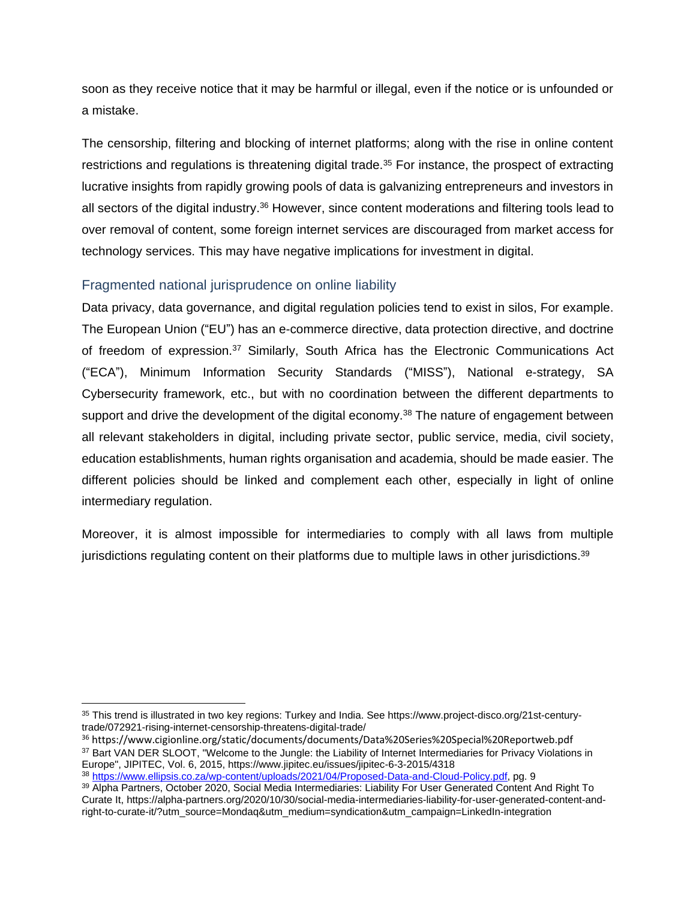soon as they receive notice that it may be harmful or illegal, even if the notice or is unfounded or a mistake.

The censorship, filtering and blocking of internet platforms; along with the rise in online content restrictions and regulations is threatening digital trade.<sup>35</sup> For instance, the prospect of extracting lucrative insights from rapidly growing pools of data is galvanizing entrepreneurs and investors in all sectors of the digital industry.<sup>36</sup> However, since content moderations and filtering tools lead to over removal of content, some foreign internet services are discouraged from market access for technology services. This may have negative implications for investment in digital.

### Fragmented national jurisprudence on online liability

Data privacy, data governance, and digital regulation policies tend to exist in silos, For example. The European Union ("EU") has an e-commerce directive, data protection directive, and doctrine of freedom of expression.<sup>37</sup> Similarly, South Africa has the Electronic Communications Act ("ECA"), Minimum Information Security Standards ("MISS"), National e-strategy, SA Cybersecurity framework, etc., but with no coordination between the different departments to support and drive the development of the digital economy.<sup>38</sup> The nature of engagement between all relevant stakeholders in digital, including private sector, public service, media, civil society, education establishments, human rights organisation and academia, should be made easier. The different policies should be linked and complement each other, especially in light of online intermediary regulation.

Moreover, it is almost impossible for intermediaries to comply with all laws from multiple jurisdictions regulating content on their platforms due to multiple laws in other jurisdictions.<sup>39</sup>

<sup>35</sup> This trend is illustrated in two key regions: Turkey and India. See https://www.project-disco.org/21st-centurytrade/072921-rising-internet-censorship-threatens-digital-trade/

<sup>36</sup> https://www.cigionline.org/static/documents/documents/Data%20Series%20Special%20Reportweb.pdf <sup>37</sup> Bart VAN DER SLOOT, "Welcome to the Jungle: the Liability of Internet Intermediaries for Privacy Violations in Europe", JIPITEC, Vol. 6, 2015, https://www.jipitec.eu/issues/jipitec-6-3-2015/4318

<sup>38</sup> [https://www.ellipsis.co.za/wp-content/uploads/2021/04/Proposed-Data-and-Cloud-Policy.pdf,](https://www.ellipsis.co.za/wp-content/uploads/2021/04/Proposed-Data-and-Cloud-Policy.pdf) pg. 9 <sup>39</sup> Alpha Partners, October 2020, Social Media Intermediaries: Liability For User Generated Content And Right To Curate It, https://alpha-partners.org/2020/10/30/social-media-intermediaries-liability-for-user-generated-content-andright-to-curate-it/?utm\_source=Mondaq&utm\_medium=syndication&utm\_campaign=LinkedIn-integration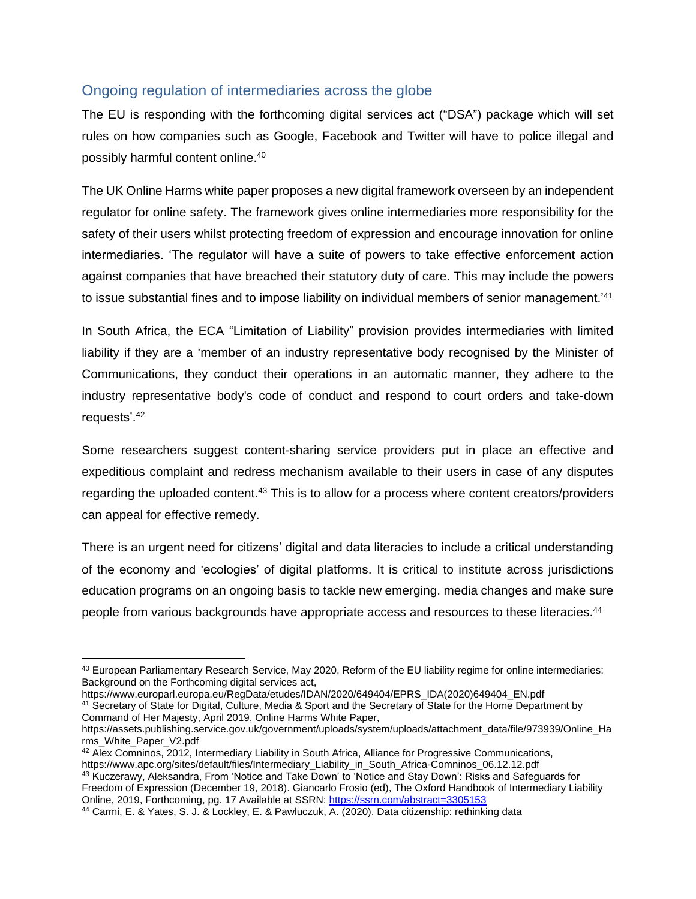## Ongoing regulation of intermediaries across the globe

The EU is responding with the forthcoming digital services act ("DSA") package which will set rules on how companies such as Google, Facebook and Twitter will have to police illegal and possibly harmful content online.<sup>40</sup>

The UK Online Harms white paper proposes a new digital framework overseen by an independent regulator for online safety. The framework gives online intermediaries more responsibility for the safety of their users whilst protecting freedom of expression and encourage innovation for online intermediaries. 'The regulator will have a suite of powers to take effective enforcement action against companies that have breached their statutory duty of care. This may include the powers to issue substantial fines and to impose liability on individual members of senior management.<sup>741</sup>

In South Africa, the ECA "Limitation of Liability" provision provides intermediaries with limited liability if they are a 'member of an industry representative body recognised by the Minister of Communications, they conduct their operations in an automatic manner, they adhere to the industry representative body's code of conduct and respond to court orders and take-down requests'.<sup>42</sup>

Some researchers suggest content-sharing service providers put in place an effective and expeditious complaint and redress mechanism available to their users in case of any disputes regarding the uploaded content.<sup>43</sup> This is to allow for a process where content creators/providers can appeal for effective remedy.

There is an urgent need for citizens' digital and data literacies to include a critical understanding of the economy and 'ecologies' of digital platforms. It is critical to institute across jurisdictions education programs on an ongoing basis to tackle new emerging. media changes and make sure people from various backgrounds have appropriate access and resources to these literacies.<sup>44</sup>

<sup>40</sup> European Parliamentary Research Service, May 2020, Reform of the EU liability regime for online intermediaries: Background on the Forthcoming digital services act,

https://www.europarl.europa.eu/RegData/etudes/IDAN/2020/649404/EPRS\_IDA(2020)649404\_EN.pdf <sup>41</sup> Secretary of State for Digital, Culture, Media & Sport and the Secretary of State for the Home Department by Command of Her Majesty, April 2019, Online Harms White Paper,

https://assets.publishing.service.gov.uk/government/uploads/system/uploads/attachment\_data/file/973939/Online\_Ha rms\_White\_Paper\_V2.pdf

<sup>42</sup> Alex Comninos, 2012, Intermediary Liability in South Africa, Alliance for Progressive Communications, https://www.apc.org/sites/default/files/Intermediary\_Liability\_in\_South\_Africa-Comninos\_06.12.12.pdf

<sup>43</sup> Kuczerawy, Aleksandra, From 'Notice and Take Down' to 'Notice and Stay Down': Risks and Safeguards for Freedom of Expression (December 19, 2018). Giancarlo Frosio (ed), The Oxford Handbook of Intermediary Liability Online, 2019, Forthcoming, pg. 17 Available at SSRN: <https://ssrn.com/abstract=3305153>

<sup>44</sup> Carmi, E. & Yates, S. J. & Lockley, E. & Pawluczuk, A. (2020). Data citizenship: rethinking data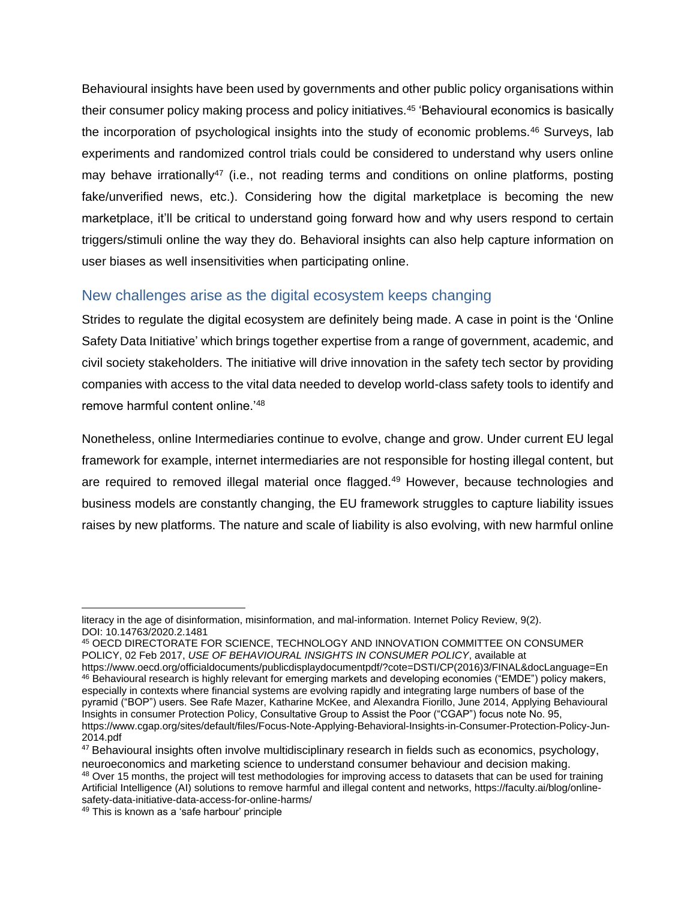Behavioural insights have been used by governments and other public policy organisations within their consumer policy making process and policy initiatives.<sup>45</sup> 'Behavioural economics is basically the incorporation of psychological insights into the study of economic problems.<sup>46</sup> Surveys, lab experiments and randomized control trials could be considered to understand why users online may behave irrationally<sup>47</sup> (i.e., not reading terms and conditions on online platforms, posting fake/unverified news, etc.). Considering how the digital marketplace is becoming the new marketplace, it'll be critical to understand going forward how and why users respond to certain triggers/stimuli online the way they do. Behavioral insights can also help capture information on user biases as well insensitivities when participating online.

### New challenges arise as the digital ecosystem keeps changing

Strides to regulate the digital ecosystem are definitely being made. A case in point is the 'Online Safety Data Initiative' which brings together expertise from a range of government, academic, and civil society stakeholders. The initiative will drive innovation in the safety tech sector by providing companies with access to the vital data needed to develop world-class safety tools to identify and remove harmful content online.'<sup>48</sup>

Nonetheless, online Intermediaries continue to evolve, change and grow. Under current EU legal framework for example, internet intermediaries are not responsible for hosting illegal content, but are required to removed illegal material once flagged.<sup>49</sup> However, because technologies and business models are constantly changing, the EU framework struggles to capture liability issues raises by new platforms. The nature and scale of liability is also evolving, with new harmful online

literacy in the age of disinformation, misinformation, and mal-information. Internet Policy Review, 9(2). DOI: 10.14763/2020.2.1481

<sup>45</sup> OECD DIRECTORATE FOR SCIENCE, TECHNOLOGY AND INNOVATION COMMITTEE ON CONSUMER POLICY, 02 Feb 2017, *USE OF BEHAVIOURAL INSIGHTS IN CONSUMER POLICY*, available at

https://www.oecd.org/officialdocuments/publicdisplaydocumentpdf/?cote=DSTI/CP(2016)3/FINAL&docLanguage=En <sup>46</sup> Behavioural research is highly relevant for emerging markets and developing economies ("EMDE") policy makers, especially in contexts where financial systems are evolving rapidly and integrating large numbers of base of the pyramid ("BOP") users. See Rafe Mazer, Katharine McKee, and Alexandra Fiorillo, June 2014, Applying Behavioural Insights in consumer Protection Policy, Consultative Group to Assist the Poor ("CGAP") focus note No. 95, https://www.cgap.org/sites/default/files/Focus-Note-Applying-Behavioral-Insights-in-Consumer-Protection-Policy-Jun-2014.pdf

<sup>47</sup> Behavioural insights often involve multidisciplinary research in fields such as economics, psychology, neuroeconomics and marketing science to understand consumer behaviour and decision making. <sup>48</sup> Over 15 months, the project will test methodologies for improving access to datasets that can be used for training

Artificial Intelligence (AI) solutions to remove harmful and illegal content and networks, https://faculty.ai/blog/onlinesafety-data-initiative-data-access-for-online-harms/

<sup>49</sup> This is known as a 'safe harbour' principle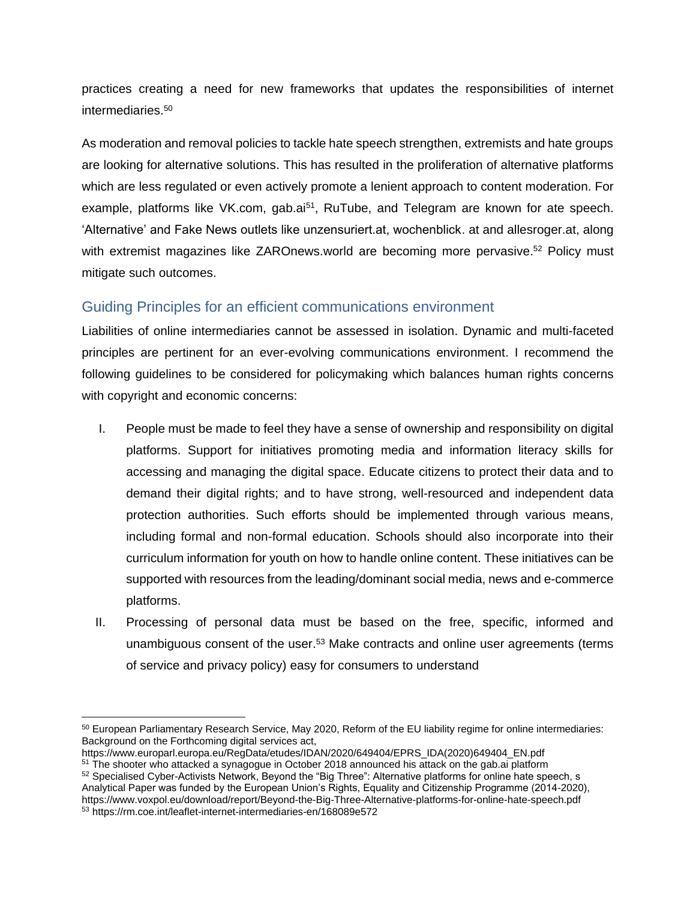practices creating a need for new frameworks that updates the responsibilities of internet intermediaries.<sup>50</sup>

As moderation and removal policies to tackle hate speech strengthen, extremists and hate groups are looking for alternative solutions. This has resulted in the proliferation of alternative platforms which are less regulated or even actively promote a lenient approach to content moderation. For example, platforms like VK.com, gab.ai<sup>51</sup>, RuTube, and Telegram are known for ate speech. 'Alternative' and Fake News outlets like unzensuriert.at, wochenblick. at and allesroger.at, along with extremist magazines like ZAROnews.world are becoming more pervasive.<sup>52</sup> Policy must mitigate such outcomes.

## Guiding Principles for an efficient communications environment

Liabilities of online intermediaries cannot be assessed in isolation. Dynamic and multi-faceted principles are pertinent for an ever-evolving communications environment. I recommend the following guidelines to be considered for policymaking which balances human rights concerns with copyright and economic concerns:

- I. People must be made to feel they have a sense of ownership and responsibility on digital platforms. Support for initiatives promoting media and information literacy skills for accessing and managing the digital space. Educate citizens to protect their data and to demand their digital rights; and to have strong, well-resourced and independent data protection authorities. Such efforts should be implemented through various means, including formal and non-formal education. Schools should also incorporate into their curriculum information for youth on how to handle online content. These initiatives can be supported with resources from the leading/dominant social media, news and e-commerce platforms.
- II. Processing of personal data must be based on the free, specific, informed and unambiguous consent of the user.<sup>53</sup> Make contracts and online user agreements (terms of service and privacy policy) easy for consumers to understand

<sup>50</sup> European Parliamentary Research Service, May 2020, Reform of the EU liability regime for online intermediaries: Background on the Forthcoming digital services act,

https://www.europarl.europa.eu/RegData/etudes/IDAN/2020/649404/EPRS\_IDA(2020)649404\_EN.pdf <sup>51</sup> The shooter who attacked a synagogue in October 2018 announced his attack on the gab.ai platform

<sup>52</sup> Specialised Cyber-Activists Network, Beyond the "Big Three": Alternative platforms for online hate speech, s Analytical Paper was funded by the European Union's Rights, Equality and Citizenship Programme (2014-2020), https://www.voxpol.eu/download/report/Beyond-the-Big-Three-Alternative-platforms-for-online-hate-speech.pdf <sup>53</sup> https://rm.coe.int/leaflet-internet-intermediaries-en/168089e572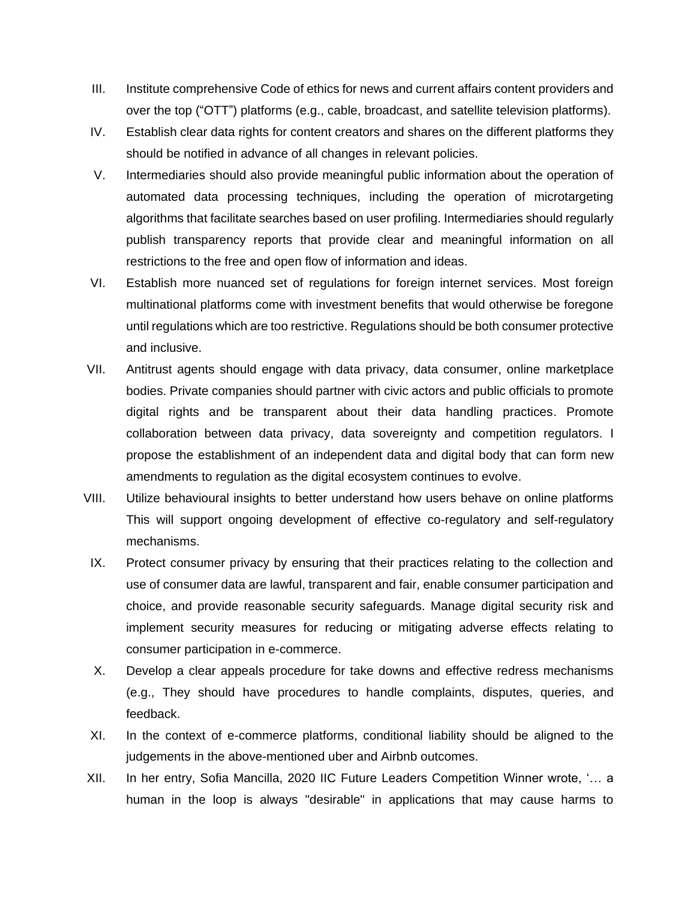- III. Institute comprehensive Code of ethics for news and current affairs content providers and over the top ("OTT") platforms (e.g., cable, broadcast, and satellite television platforms).
- IV. Establish clear data rights for content creators and shares on the different platforms they should be notified in advance of all changes in relevant policies.
- V. Intermediaries should also provide meaningful public information about the operation of automated data processing techniques, including the operation of microtargeting algorithms that facilitate searches based on user profiling. Intermediaries should regularly publish transparency reports that provide clear and meaningful information on all restrictions to the free and open flow of information and ideas.
- VI. Establish more nuanced set of regulations for foreign internet services. Most foreign multinational platforms come with investment benefits that would otherwise be foregone until regulations which are too restrictive. Regulations should be both consumer protective and inclusive.
- VII. Antitrust agents should engage with data privacy, data consumer, online marketplace bodies. Private companies should partner with civic actors and public officials to promote digital rights and be transparent about their data handling practices. Promote collaboration between data privacy, data sovereignty and competition regulators. I propose the establishment of an independent data and digital body that can form new amendments to regulation as the digital ecosystem continues to evolve.
- VIII. Utilize behavioural insights to better understand how users behave on online platforms This will support ongoing development of effective co-regulatory and self-regulatory mechanisms.
- IX. Protect consumer privacy by ensuring that their practices relating to the collection and use of consumer data are lawful, transparent and fair, enable consumer participation and choice, and provide reasonable security safeguards. Manage digital security risk and implement security measures for reducing or mitigating adverse effects relating to consumer participation in e-commerce.
- X. Develop a clear appeals procedure for take downs and effective redress mechanisms (e.g., They should have procedures to handle complaints, disputes, queries, and feedback.
- XI. In the context of e-commerce platforms, conditional liability should be aligned to the judgements in the above-mentioned uber and Airbnb outcomes.
- XII. In her entry, Sofia Mancilla, 2020 IIC Future Leaders Competition Winner wrote, '… a human in the loop is always "desirable" in applications that may cause harms to